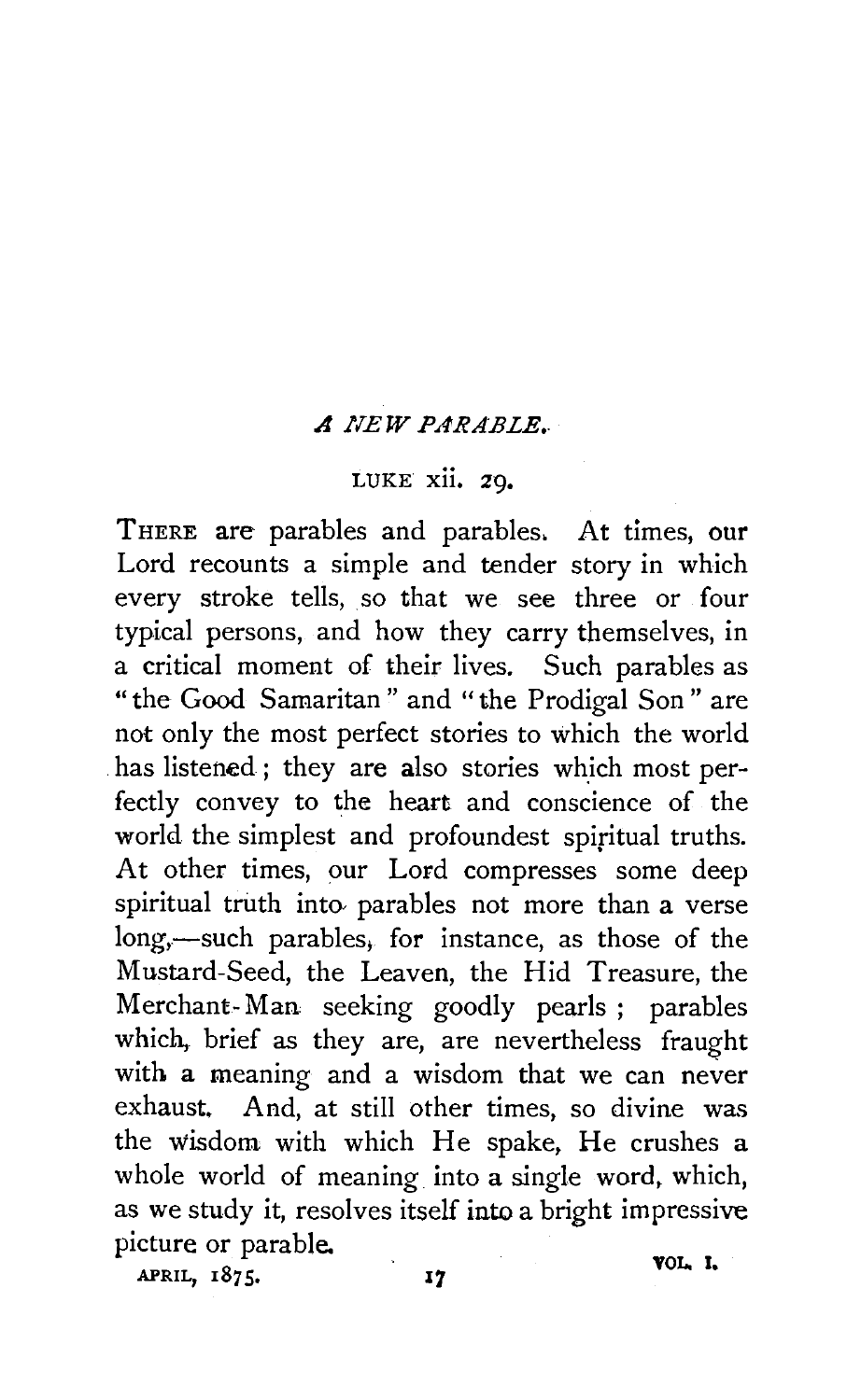## *A NEW PARABLE •.*

## LUKE xii. 29,

THERE are parables and parables. At times, our Lord recounts a simple and tender story in which every stroke tells, so that we see three or four typical persons, and how they carry themselves, in a critical moment of their lives. Such parables as "the Good Samaritan " and "the Prodigal Son " are not only the most perfect stories to which the world has listened; they are also stories which most perfectly convey to the heart and conscience of the world the simplest and profoundest spiritual truths. At other times, our Lord compresses some deep spiritual truth into- parables not more than a verse long,-such parables, for instance, as those of the Mustard-Seed, the Leaven, the Hid Treasure, the Merchant- Man seeking goodly pearls ; parables which, brief as they are, are nevertheless fraught with a meaning and a wisdom that we can never exhaust. And, at still other times, so divine was the wisdom with which He spake, He crushes a whole world of meaning into a single word, which, as we study it, resolves itself into a bright impressive picture or parable.  $APRIL, 1875.$   $I7$  VOL. I.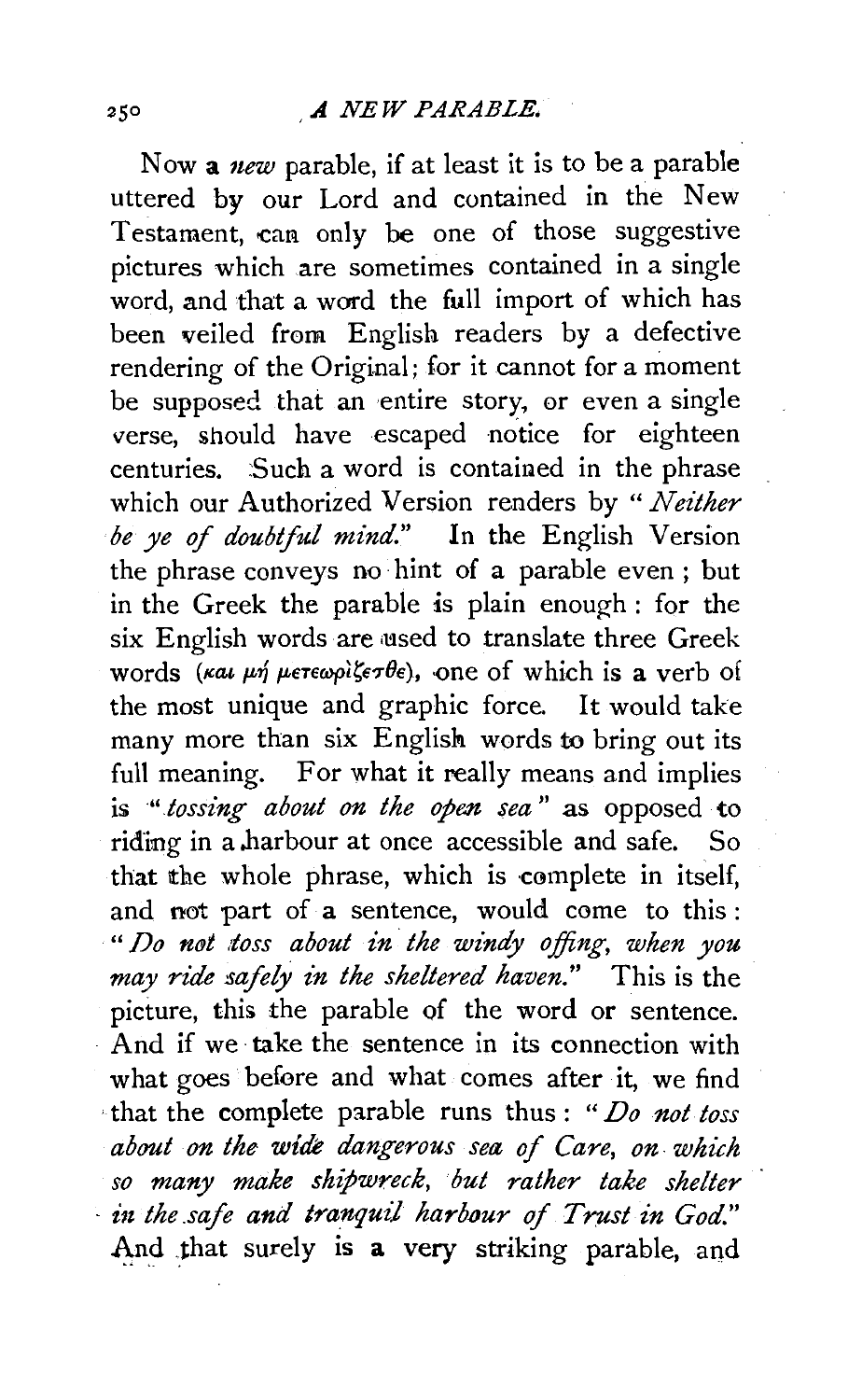Now a *new* parable, if at least it is to be a parable uttered by our Lord and contained in the New Testament, can only be one of those suggestive pictures which are sometimes contained in a single word, and that a ward the full import of which has been veiled from English readers by a defective rendering of the Original; for it cannot for a moment be supposed that an entire story, or even a single verse, should have escaped notice for eighteen centuries. Such a word is contained in the phrase which our Authorized Version renders by " *Neither be ye* of *doubtful mind."* In the English Version the phrase conveys no hint of a parable even ; but in the Greek the parable is plain enough : for the six English words are used to translate three Greek words *(Kal µn µeteopi* $\xi \in \mathcal{P}$ e), one of which is a verb of the most unique and graphic force. It would take many more than six English words to bring out its full meaning. For what it really means and implies is *·".tossing about on the open sea* " as opposed to riding in a harbour at once accessible and safe. So that the whole phrase, which is complete in itself, and not part of a sentence, would come to this : *"Do nfJt .toss about in the windy offing, when you may ride safely in the sheltered haven."* This is the picture, this the parable of the word or sentence. And if we take the sentence in its connection with what goes before and what comes after it, we find that the complete parable runs thus : *"Do not toss about on the wide dangerous sea of Care, on. which so many make shipwreck, but rather take shelter*   $\cdot$  *in the safe and tranquil harbour of Trust in God.*" And that surely is a very striking parable, and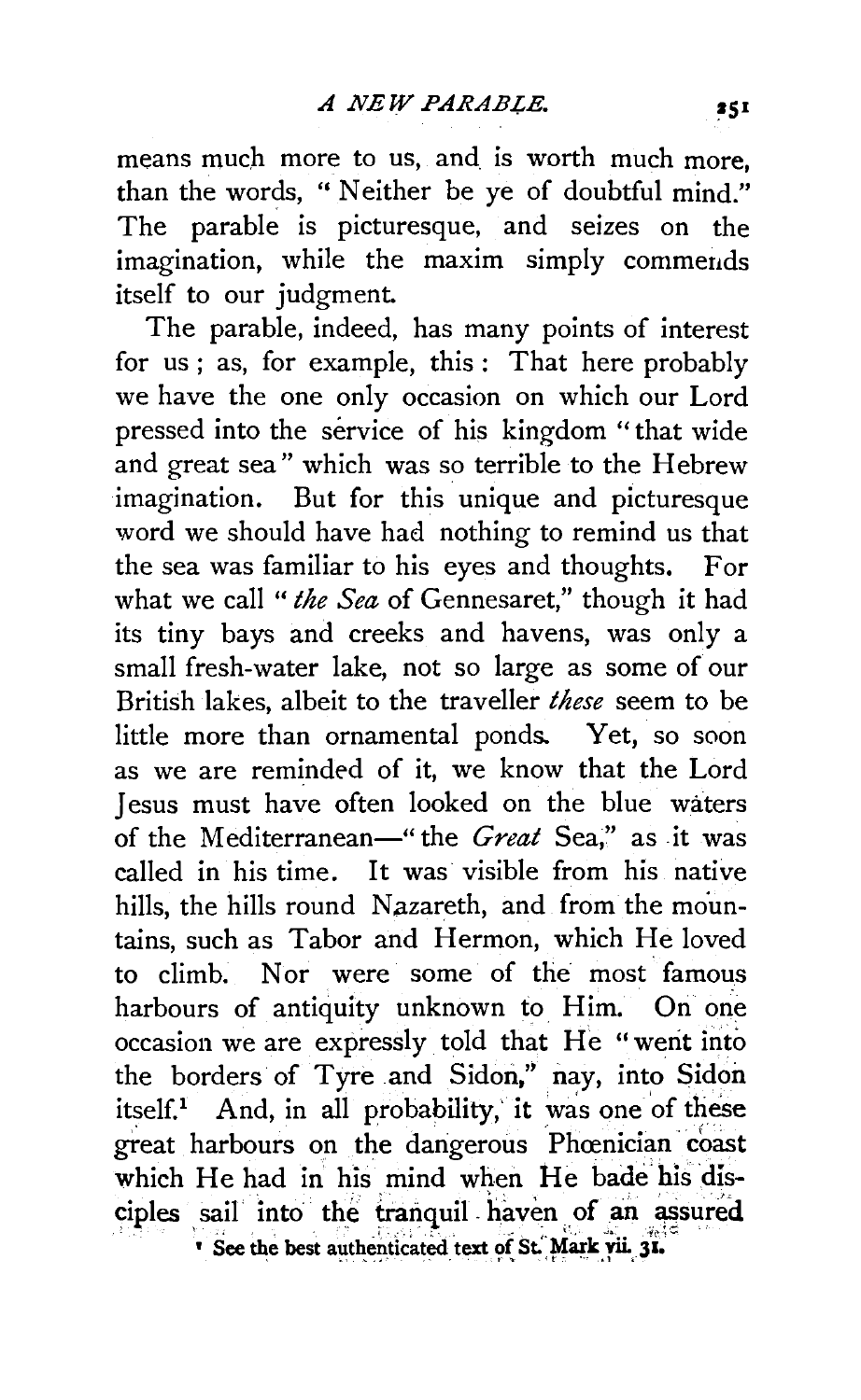means much more to us, and is worth much more, than the words, " Neither be ye of doubtful mind." The parable is picturesque, and seizes on the imagination, while the maxim simply commends itself to our judgment.

The parable, indeed, has many points of interest for us ; as, for example, this : That here probably we have the one only occasion on which our Lord pressed into the service of his kingdom "that wide and great sea" which was so terrible to the Hebrew imagination. But for this unique and picturesque word we should have had nothing to remind us that the sea was familiar to his eyes and thoughts. For what we call *"the Sea* of Gennesaret," though it had its tiny bays and creeks and havens, was only a small fresh-water lake, not so large as some of our British lakes, albeit to the traveller *these* seem to be little more than ornamental ponds. Yet, so soon as we are reminded of it, we know that the Lord Jesus must have often looked on the blue waters of the Mediterranean—" the *Great* Sea," as it was called in his time. It was visible from his native hills, the hills round Nazareth, and from the mountains, such as Tabor and Hermon, which He loved to climb. Nor were some of the most famous harbours of antiquity unknown to Him. On one occasion we are expressly told that He "went into the borders of Tyre and Sidon," nay, into Sidon itself.<sup>1</sup> And, in all probability, it was one of these great harbours on the dangerous Phœnician coast which He had in his mind when He bade his disciples sail into the tranquil haven of an assured Dee the best authenticated text of St. Mark vii. 31.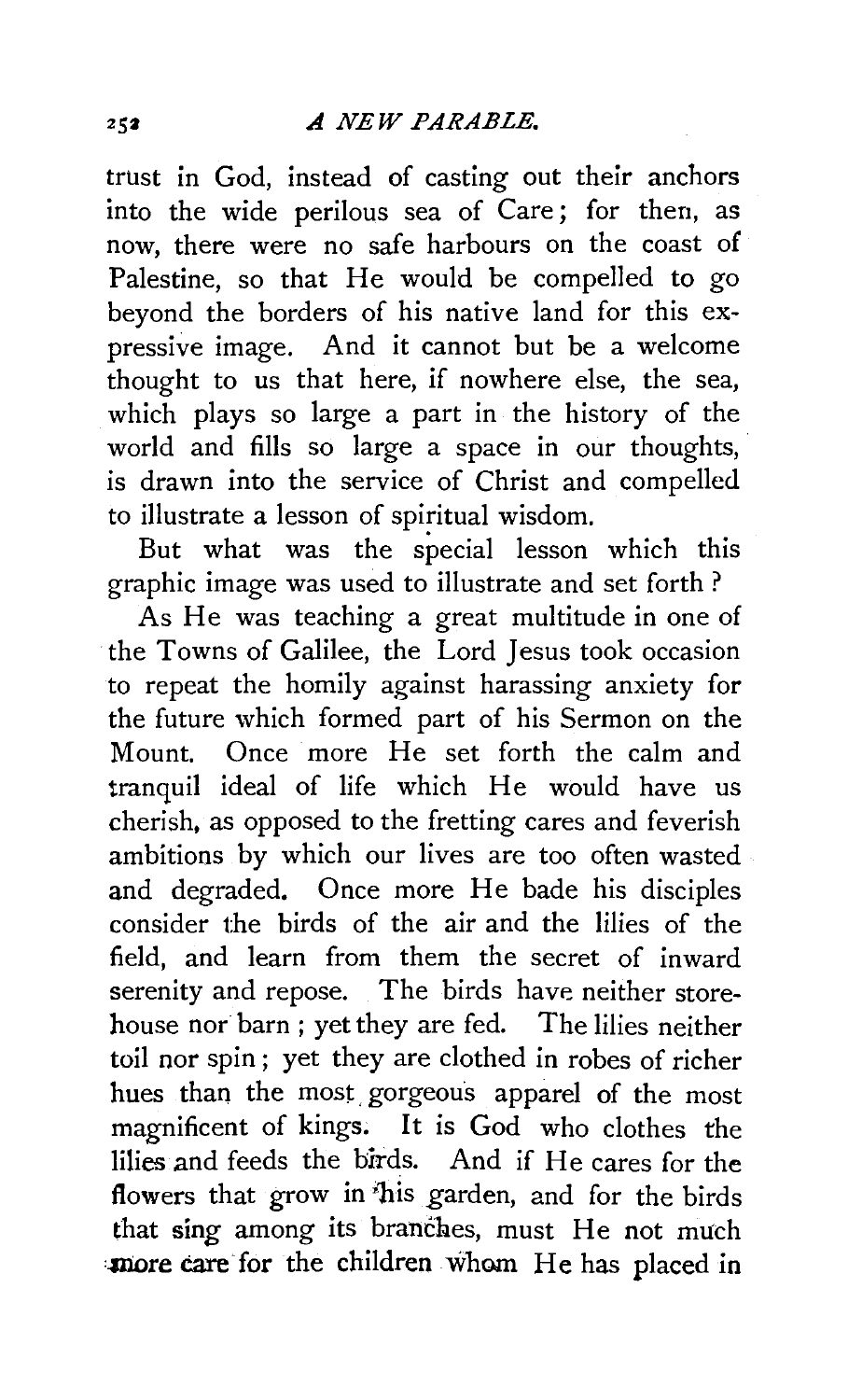trust in God, instead of casting out their anchors into the wide perilous sea of Care ; for then, as now, there were no safe harbours on the coast of Palestine, so that He would be compelled to go beyond the borders of his native land for this expressive image. And it cannot but be a welcome thought to us that here, if nowhere else, the sea, which plays so large a part in the history of the world and fills so large a space in our thoughts, is drawn into the service of Christ and compelled to illustrate a lesson of spiritual wisdom.

But what was the special lesson which this graphic image was used to illustrate and set forth?

As He was teaching a great multitude in one of the Towns of Galilee, the Lord Jesus took occasion to repeat the homily against harassing anxiety for the future which formed part of his Sermon on the Mount. Once more He set forth the calm and tranquil ideal of life which He would have us cherish, as opposed to the fretting cares and feverish ambitions by which our lives are too often wasted and degraded. Once more He bade his disciples consider the birds of the air and the lilies of the field, and learn from them the secret of inward serenity and repose. The birds have neither storehouse nor barn ; yet they are fed. The lilies neither toil nor spin ; yet they are clothed in robes of richer hues than the most, gorgeous apparel of the most magnificent of kings. It is God who clothes the lilies and feeds the birds. And if He cares for the flowers that grow in 'bis garden, and for the birds that sing among its branches, must He not much more care for the children whom He has placed in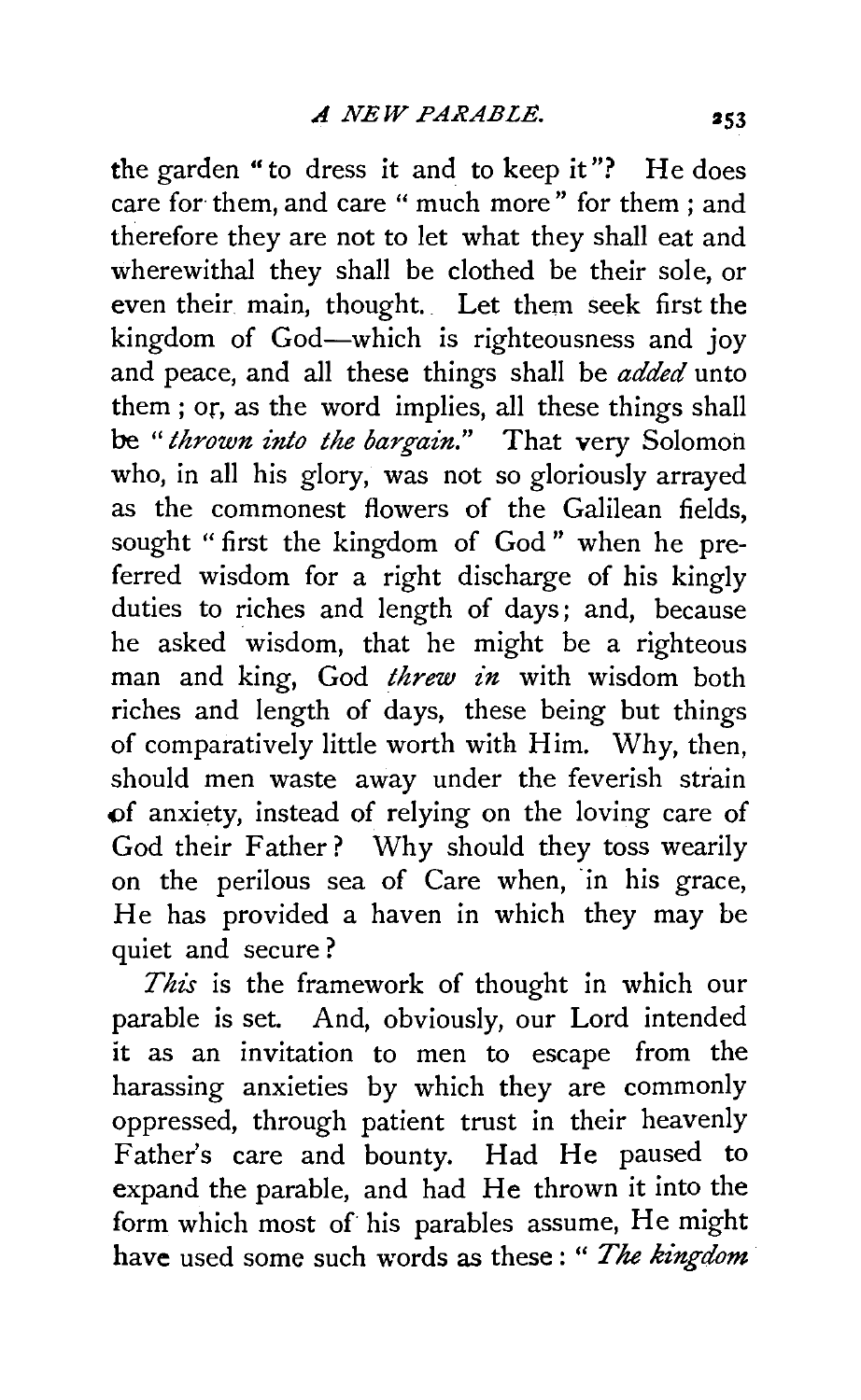the garden "to dress it and to keep it"? He does care for them, and care " much more" for them ; and therefore they are not to let what they shall eat and wherewithal they shall be clothed be their sole, or even their main, thought. Let them seek first the kingdom of God-which is righteousness and joy and peace, and all these things shall be *added* unto them ; or, as the word implies, all these things shall be "thrown into the bargain." That very Solomon who, in all his glory, was not so gloriously arrayed as the commonest flowers of the Galilean fields, sought " first the kingdom of God " when he preferred wisdom for a right discharge of his kingly duties to riches and length of days; and, because he asked wisdom, that he might be a righteous man and king, God *threw in* with wisdom both riches and length of days, these being but things of comparatively little worth with Him. Why, then, should men waste away under the feverish strain <>f anxiety, instead of relying on the loving care of God their Father? Why should they toss wearily on the perilous sea of Care when, in his grace, He has provided a haven in which they may be quiet and secure?

*This* is the framework of thought in which our parable is set. And, obviously, our Lord intended it as an invitation to men to escape from the harassing anxieties by which they are commonly oppressed, through patient trust in their heavenly Father's care and bounty. Had He paused to expand the parable, and had He thrown it into the form which most of his parables assume, He might have used some such words as these: " *The kingdom*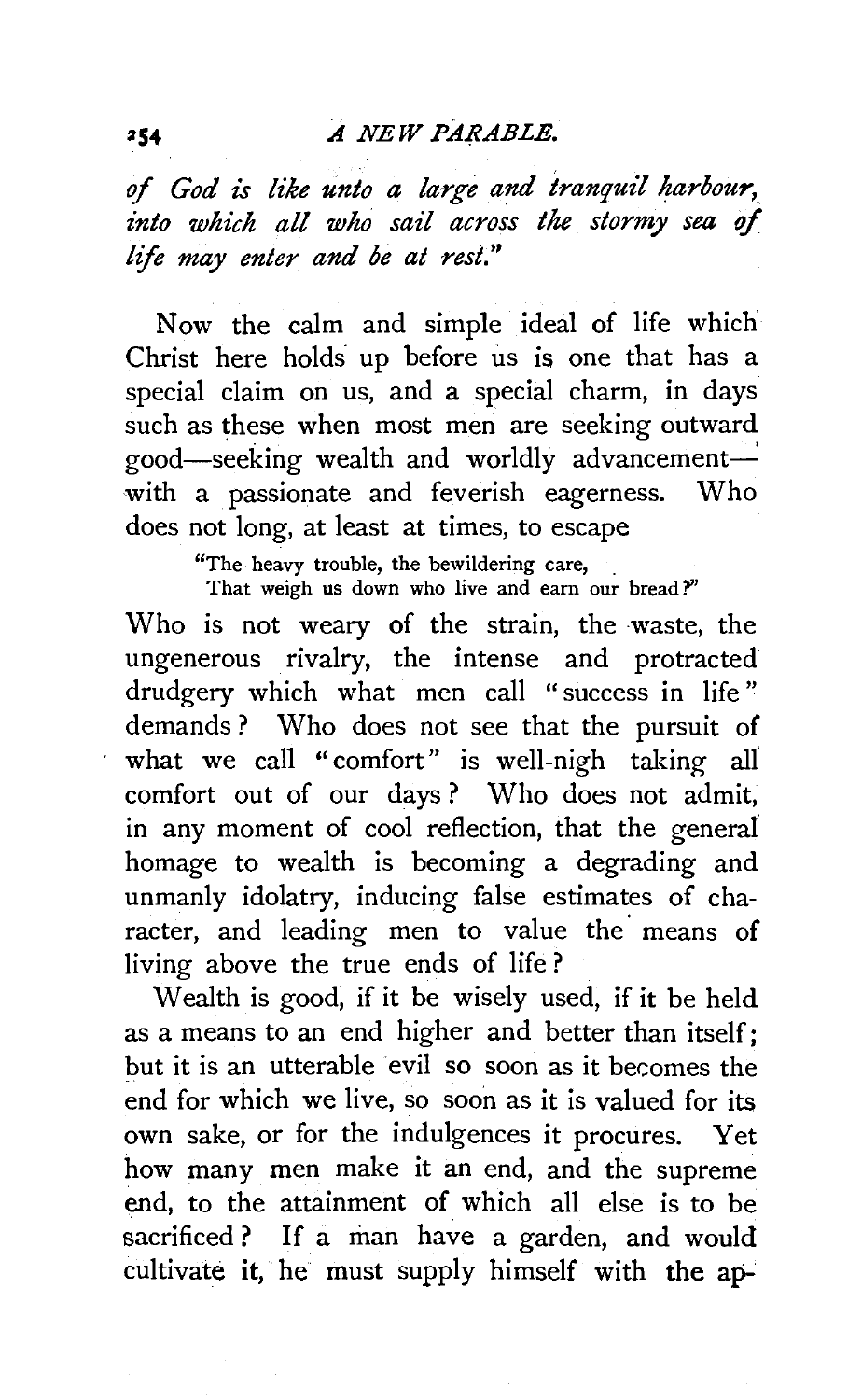## *A NEW PARABLE.*

of *God is like unto a large and tranquil harbour, into which all who sail across the stormy sea of life may enter and be at rest."* 

Now the calm and simple ideal of life which Christ here holds up before us is one that has a special claim on us, and a special charm, in days such as these when most men are seeking outward good-seeking wealth and worldly advancementwith a passionate and feverish eagerness. Who does not long, at least at times, to escape

"The heavy trouble, the bewildering care, .

That weigh us down who live and earn our bread?"

Who is not weary of the strain, the waste, the ungenerous rivalry, the intense and protracted drudgery which what men call "success in life" demands ? Who does not see that the pursuit of what we call "comfort" is well-nigh taking all comfort out of our days ? Who does not admit, in any moment of cool reflection, that the general homage to wealth is becoming a degrading and unmanly idolatry, inducing false estimates of character, and leading men to value the means of living above the true ends of life ?

Wealth is good, if it be wisely used, if it be held as a means to an end higher and better than itself; but it is an utterable evil so soon as it becomes the end for which we live, so soon as it is valued for its own sake, or for the indulgences it procures. Yet how many men make it an end, and the supreme end, to the attainment of which all else is to be sacrificed ? If a man have a garden, and would cultivate it, he must supply himself with the ap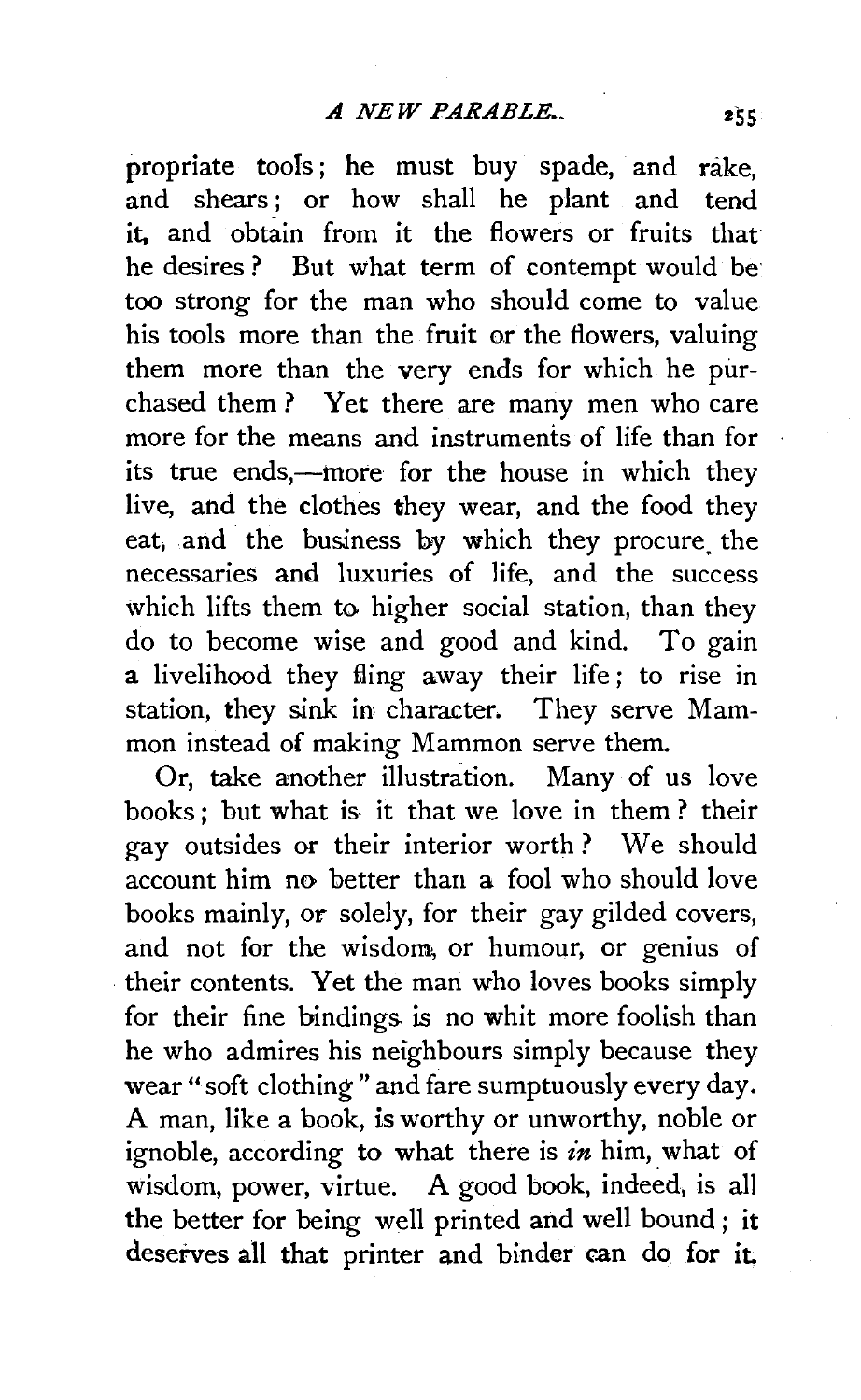propriate tools; he must buy spade, and rake, and shears ; or how shall he plant and tend it, and obtain from it the flowers or fruits that he desires ? But what term of contempt would be too strong for the man who should come to value his tools more than the fruit or the flowers, valuing them more than the very ends for which he purchased them ? Yet there are many men who care more for the means and instruments of life than for its true ends,—more for the house in which they live, and the clothes they wear, and the food they eat, and the business by which they procure the necessaries and luxuries of life, and the success which lifts them to higher social station, than they do to become wise and good and kind. To gain a livelihood they fling away their life; to rise in station, they sink in character. They serve Mammon instead of making Mammon serve them.

Or, take another illustration. Many of us love books; but what is- it that we love in them? their gay outsides or their interior worth ? We should account him no better than a fool who should love books mainly, or solely, for their gay gilded covers, and not for the wisdom, or humour, or genius of their contents. Yet the man who loves books simply for their fine bindings is no whit more foolish than he who admires his neighbours simply because they wear "soft clothing " and fare sumptuously every day. A man, like a book, is worthy or unworthy, noble or ignoble, according to what there is *£n* him, what of wisdom, power, virtue. A good book, indeed, is all the better for being well printed and well bound ; it deserves all that printer and binder can do for it.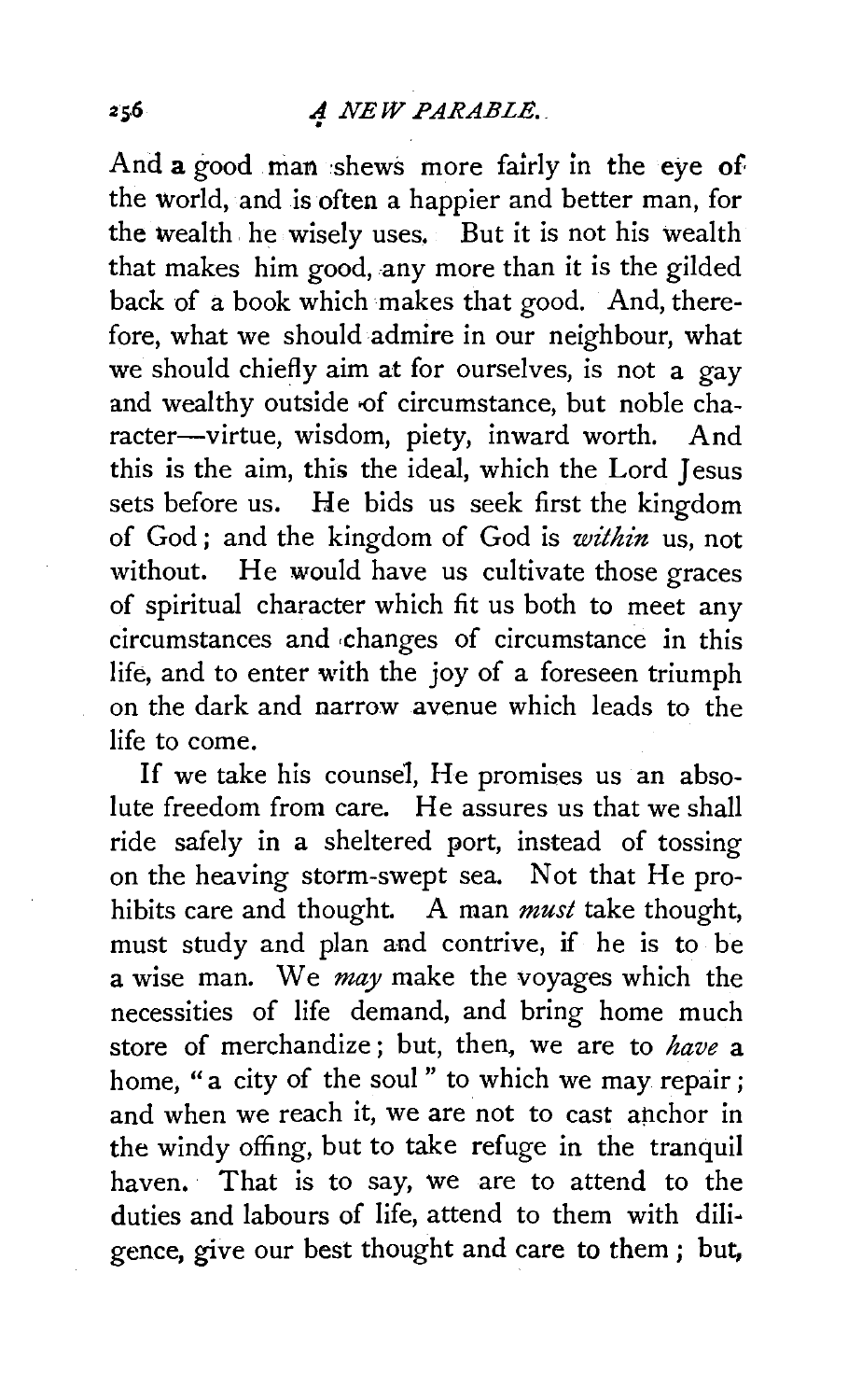And a good man shews more fairly in the eye of the world, and is often a happier and better man, for the wealth. he wisely uses. But it is not his wealth that makes him good, any more than it is the gilded back of a book which makes that good. And, therefore, what we should admire in our neighbour, what we should chiefly aim at for ourselves, is not a gay and wealthy outside of circumstance, but noble character-virtue, wisdom, piety, inward worth. And this is the aim, this the ideal, which the Lord Jesus sets before us. He bids us seek first the kingdom of God ; and the kingdom of God is *within* us, not without. He would have us cultivate those graces of spiritual character which fit us both to meet any circumstances and ·changes of circumstance in this life, and to enter with the joy of a foreseen triumph on the dark and narrow avenue which leads to the life to come.

If we take his counsel, He promises us an absolute freedom from care. He assures us that we shall ride safely in a sheltered port, instead of tossing on the heaving storm-swept sea. Not that He prohibits care and thought. A man *must* take thought, must study and plan and contrive, if he is to be a wise man. We *may* make the voyages which the necessities of life demand, and bring home much store of merchandize ; but, then, we are to *have* a home, "a city of the soul" to which we may repair; and when we reach it, we are not to cast anchor in the windy offing, but to take refuge in the tranquil haven. That is to say, we are to attend to the duties and labours of life, attend to them with diligence, give our best thought and care to them ; but,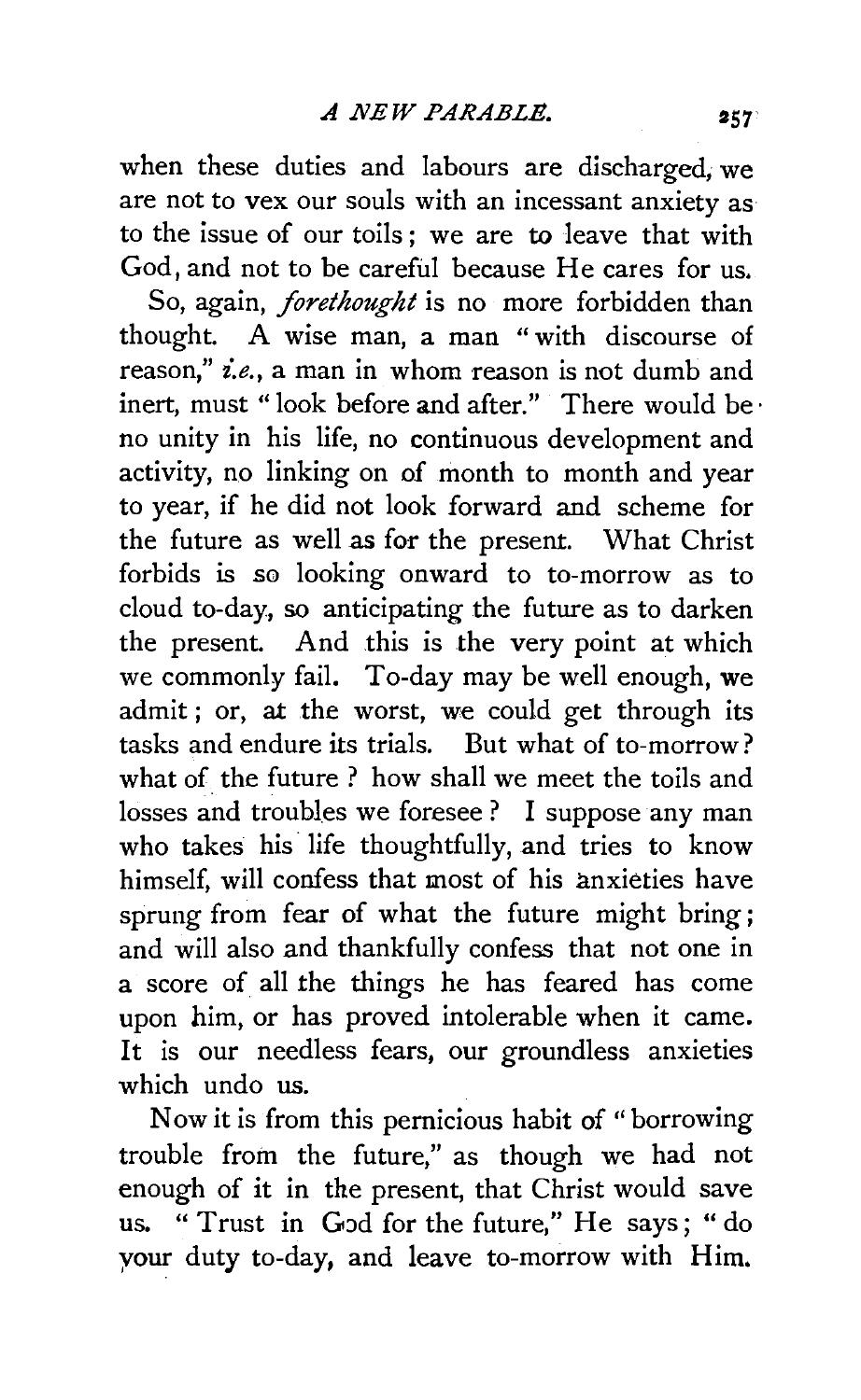when these duties and labours are discharged, we are not to vex our souls with an incessant anxiety as to the issue of our toils ; we are to leave that with God, and not to be careful because He cares for us.

So, again, *forethought* is no more forbidden than thought. A wise man, a man " with discourse of reason," *i.e.*, a man in whom reason is not dumb and inert, must "look before and after." There would be· no unity in his life, no continuous development and activity, no linking on of month to month and year to year, if he did not look forward and scheme for the future as well as for the present. What Christ forbids is so looking onward to to-morrow as to cloud to-day, so anticipating the future as to darken the present. And this is the very point at which we commonly fail. To-day may be well enough, we admit ; or, at the worst, we could get through its tasks and endure its trials. But what of to-morrow? what of the future ? how shall we meet the toils and losses and troubles we foresee? I suppose any man who takes his life thoughtfully, and tries to know himself, will confess that most of his anxieties have sprung from fear of what the future might bring; and will also and thankfully confess that not one in a score of all the things he has feared has come upon him, or has proved intolerable when it came. It is our needless fears, our groundless anxieties which undo us.

Now it is from this pernicious habit of " borrowing trouble from the future," as though we had not enough of it in the present, that Christ would save us. "Trust in God for the future," He says; "do your duty to-day, and leave to-morrow with Him.